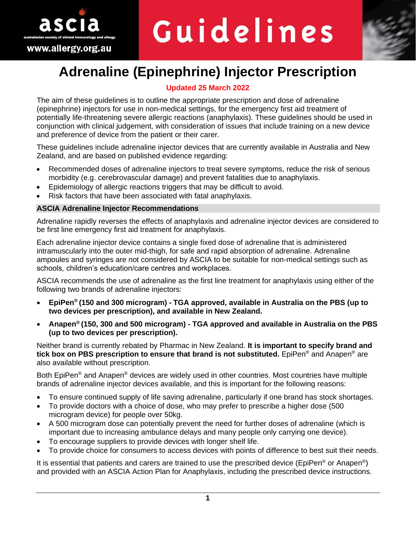

# Guidelines



# **Adrenaline (Epinephrine) Injector Prescription**

# **Updated 25 March 2022**

The aim of these guidelines is to outline the appropriate prescription and dose of adrenaline (epinephrine) injectors for use in non-medical settings, for the emergency first aid treatment of potentially life-threatening severe allergic reactions (anaphylaxis). These guidelines should be used in conjunction with clinical judgement, with consideration of issues that include training on a new device and preference of device from the patient or their carer.

These guidelines include adrenaline injector devices that are currently available in Australia and New Zealand, and are based on published evidence regarding:

- Recommended doses of adrenaline injectors to treat severe symptoms, reduce the risk of serious morbidity (e.g. cerebrovascular damage) and prevent fatalities due to anaphylaxis.
- Epidemiology of allergic reactions triggers that may be difficult to avoid.
- Risk factors that have been associated with fatal anaphylaxis.

# **ASCIA Adrenaline Injector Recommendations**

Adrenaline rapidly reverses the effects of anaphylaxis and adrenaline injector devices are considered to be first line emergency first aid treatment for anaphylaxis.

Each adrenaline injector device contains a single fixed dose of adrenaline that is administered intramuscularly into the outer mid-thigh, for safe and rapid absorption of adrenaline. Adrenaline ampoules and syringes are not considered by ASCIA to be suitable for non-medical settings such as schools, children's education/care centres and workplaces.

ASCIA recommends the use of adrenaline as the first line treatment for anaphylaxis using either of the following two brands of adrenaline injectors:

- **EpiPen® (150 and 300 microgram) - TGA approved, available in Australia on the PBS (up to two devices per prescription), and available in New Zealand.**
- **Anapen® (150, 300 and 500 microgram) - TGA approved and available in Australia on the PBS (up to two devices per prescription).**

Neither brand is currently rebated by Pharmac in New Zealand. **It is important to specify brand and tick box on PBS prescription to ensure that brand is not substituted.** EpiPen® and Anapen® are also available without prescription.

Both EpiPen<sup>®</sup> and Anapen<sup>®</sup> devices are widely used in other countries. Most countries have multiple brands of adrenaline injector devices available, and this is important for the following reasons:

- To ensure continued supply of life saving adrenaline, particularly if one brand has stock shortages.
- To provide doctors with a choice of dose, who may prefer to prescribe a higher dose (500 microgram device) for people over 50kg.
- A 500 microgram dose can potentially prevent the need for further doses of adrenaline (which is important due to increasing ambulance delays and many people only carrying one device).
- To encourage suppliers to provide devices with longer shelf life.
- To provide choice for consumers to access devices with points of difference to best suit their needs.

It is essential that patients and carers are trained to use the prescribed device (EpiPen® or Anapen®) and provided with an ASCIA Action Plan for Anaphylaxis, including the prescribed device instructions.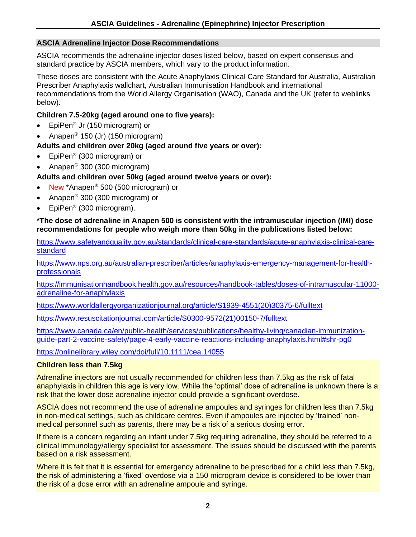# **ASCIA Adrenaline Injector Dose Recommendations**

ASCIA recommends the adrenaline injector doses listed below, based on expert consensus and standard practice by ASCIA members, which vary to the product information.

These doses are consistent with the Acute Anaphylaxis Clinical Care Standard for Australia, Australian Prescriber Anaphylaxis wallchart, Australian Immunisation Handbook and international recommendations from the World Allergy Organisation (WAO), Canada and the UK (refer to weblinks below).

# **Children 7.5-20kg (aged around one to five years):**

- EpiPen® Jr (150 microgram) or
- Anapen® 150 (Jr) (150 microgram)

# **Adults and children over 20kg (aged around five years or over):**

- EpiPen<sup>®</sup> (300 microgram) or
- Anapen® 300 (300 microgram)

# **Adults and children over 50kg (aged around twelve years or over):**

- New \*Anapen® 500 (500 microgram) or
- Anapen® 300 (300 microgram) or
- EpiPen<sup>®</sup> (300 microgram).

## **\*The dose of adrenaline in Anapen 500 is consistent with the intramuscular injection (IMI) dose recommendations for people who weigh more than 50kg in the publications listed below:**

[https://www.safetyandquality.gov.au/standards/clinical-care-standards/acute-anaphylaxis-clinical-care](https://www.safetyandquality.gov.au/standards/clinical-care-standards/acute-anaphylaxis-clinical-care-standard)**[standard](https://www.safetyandquality.gov.au/standards/clinical-care-standards/acute-anaphylaxis-clinical-care-standard)** 

[https://www.nps.org.au/australian-prescriber/articles/anaphylaxis-emergency-management-for-health](https://www.nps.org.au/australian-prescriber/articles/anaphylaxis-emergency-management-for-health-professionals)[professionals](https://www.nps.org.au/australian-prescriber/articles/anaphylaxis-emergency-management-for-health-professionals)

[https://immunisationhandbook.health.gov.au/resources/handbook-tables/doses-of-intramuscular-11000](https://immunisationhandbook.health.gov.au/resources/handbook-tables/doses-of-intramuscular-11000-adrenaline-for-anaphylaxis) [adrenaline-for-anaphylaxis](https://immunisationhandbook.health.gov.au/resources/handbook-tables/doses-of-intramuscular-11000-adrenaline-for-anaphylaxis) 

[https://www.worldallergyorganizationjournal.org/article/S1939-4551\(20\)30375-6/fulltext](https://www.worldallergyorganizationjournal.org/article/S1939-4551(20)30375-6/fulltext)

[https://www.resuscitationjournal.com/article/S0300-9572\(21\)00150-7/fulltext](https://www.resuscitationjournal.com/article/S0300-9572(21)00150-7/fulltext)

[https://www.canada.ca/en/public-health/services/publications/healthy-living/canadian-immunization](https://www.canada.ca/en/public-health/services/publications/healthy-living/canadian-immunization-guide-part-2-vaccine-safety/page-4-early-vaccine-reactions-including-anaphylaxis.html#shr-pg0)[guide-part-2-vaccine-safety/page-4-early-vaccine-reactions-including-anaphylaxis.html#shr-pg0](https://www.canada.ca/en/public-health/services/publications/healthy-living/canadian-immunization-guide-part-2-vaccine-safety/page-4-early-vaccine-reactions-including-anaphylaxis.html#shr-pg0)

<https://onlinelibrary.wiley.com/doi/full/10.1111/cea.14055>

# **Children less than 7.5kg**

Adrenaline injectors are not usually recommended for children less than 7.5kg as the risk of fatal anaphylaxis in children this age is very low. While the 'optimal' dose of adrenaline is unknown there is a risk that the lower dose adrenaline injector could provide a significant overdose.

ASCIA does not recommend the use of adrenaline ampoules and syringes for children less than 7.5kg in non-medical settings, such as childcare centres. Even if ampoules are injected by 'trained' nonmedical personnel such as parents, there may be a risk of a serious dosing error.

If there is a concern regarding an infant under 7.5kg requiring adrenaline, they should be referred to a clinical immunology/allergy specialist for assessment. The issues should be discussed with the parents based on a risk assessment.

Where it is felt that it is essential for emergency adrenaline to be prescribed for a child less than 7.5kg, the risk of administering a 'fixed' overdose via a 150 microgram device is considered to be lower than the risk of a dose error with an adrenaline ampoule and syringe.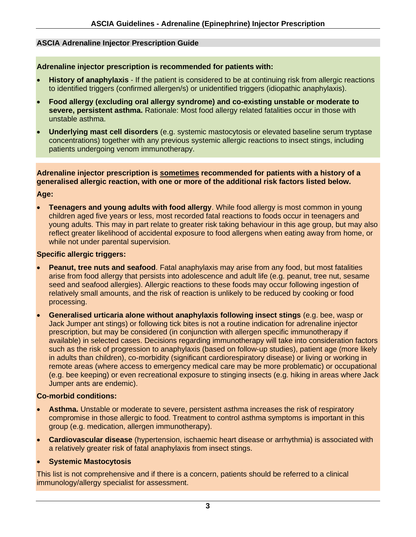# **ASCIA Adrenaline Injector Prescription Guide**

#### **Adrenaline injector prescription is recommended for patients with:**

- **History of anaphylaxis** If the patient is considered to be at continuing risk from allergic reactions to identified triggers (confirmed allergen/s) or unidentified triggers (idiopathic anaphylaxis).
- **Food allergy (excluding oral allergy syndrome) and co-existing unstable or moderate to severe, persistent asthma.** Rationale: Most food allergy related fatalities occur in those with unstable asthma.
- **Underlying mast cell disorders** (e.g. systemic mastocytosis or elevated baseline serum tryptase concentrations) together with any previous systemic allergic reactions to insect stings, including patients undergoing venom immunotherapy.

**Adrenaline injector prescription is sometimes recommended for patients with a history of a generalised allergic reaction, with one or more of the additional risk factors listed below.**

#### **Age:**

• **Teenagers and young adults with food allergy**. While food allergy is most common in young children aged five years or less, most recorded fatal reactions to foods occur in teenagers and young adults. This may in part relate to greater risk taking behaviour in this age group, but may also reflect greater likelihood of accidental exposure to food allergens when eating away from home, or while not under parental supervision.

#### **Specific allergic triggers:**

- **Peanut, tree nuts and seafood**. Fatal anaphylaxis may arise from any food, but most fatalities arise from food allergy that persists into adolescence and adult life (e.g. peanut, tree nut, sesame seed and seafood allergies). Allergic reactions to these foods may occur following ingestion of relatively small amounts, and the risk of reaction is unlikely to be reduced by cooking or food processing.
- **Generalised urticaria alone without anaphylaxis following insect stings** (e.g. bee, wasp or Jack Jumper ant stings) or following tick bites is not a routine indication for adrenaline injector prescription, but may be considered (in conjunction with allergen specific immunotherapy if available) in selected cases. Decisions regarding immunotherapy will take into consideration factors such as the risk of progression to anaphylaxis (based on follow-up studies), patient age (more likely in adults than children), co-morbidity (significant cardiorespiratory disease) or living or working in remote areas (where access to emergency medical care may be more problematic) or occupational (e.g. bee keeping) or even recreational exposure to stinging insects (e.g. hiking in areas where Jack Jumper ants are endemic).

#### **Co-morbid conditions:**

- **Asthma.** Unstable or moderate to severe, persistent asthma increases the risk of respiratory compromise in those allergic to food. Treatment to control asthma symptoms is important in this group (e.g. medication, allergen immunotherapy).
- **Cardiovascular disease** (hypertension, ischaemic heart disease or arrhythmia) is associated with a relatively greater risk of fatal anaphylaxis from insect stings.

#### • **Systemic Mastocytosis**

This list is not comprehensive and if there is a concern, patients should be referred to a clinical immunology/allergy specialist for assessment.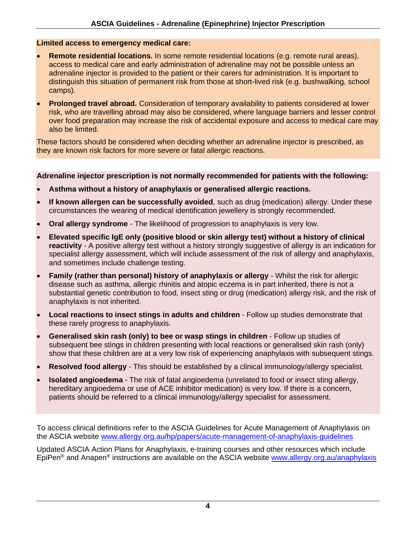#### **Limited access to emergency medical care:**

- **Remote residential locations.** In some remote residential locations (e.g. remote rural areas), access to medical care and early administration of adrenaline may not be possible unless an adrenaline injector is provided to the patient or their carers for administration. It is important to distinguish this situation of permanent risk from those at short-lived risk (e.g. bushwalking, school camps).
- **Prolonged travel abroad.** Consideration of temporary availability to patients considered at lower risk, who are travelling abroad may also be considered, where language barriers and lesser control over food preparation may increase the risk of accidental exposure and access to medical care may also be limited.

These factors should be considered when deciding whether an adrenaline injector is prescribed, as they are known risk factors for more severe or fatal allergic reactions.

#### **Adrenaline injector prescription is not normally recommended for patients with the following:**

- **Asthma without a history of anaphylaxis or generalised allergic reactions.**
- **If known allergen can be successfully avoided**, such as drug (medication) allergy. Under these circumstances the wearing of medical identification jewellery is strongly recommended.
- **Oral allergy syndrome** The likelihood of progression to anaphylaxis is very low.
- **Elevated specific IgE only (positive blood or skin allergy test) without a history of clinical reactivity** - A positive allergy test without a history strongly suggestive of allergy is an indication for specialist allergy assessment, which will include assessment of the risk of allergy and anaphylaxis, and sometimes include challenge testing.
- **Family (rather than personal) history of anaphylaxis or allergy** Whilst the risk for allergic disease such as asthma, allergic rhinitis and atopic eczema is in part inherited, there is not a substantial genetic contribution to food, insect sting or drug (medication) allergy risk, and the risk of anaphylaxis is not inherited.
- **Local reactions to insect stings in adults and children** Follow up studies demonstrate that these rarely progress to anaphylaxis.
- **Generalised skin rash (only) to bee or wasp stings in children** Follow up studies of subsequent bee stings in children presenting with local reactions or generalised skin rash (only) show that these children are at a very low risk of experiencing anaphylaxis with subsequent stings.
- **Resolved food allergy** This should be established by a clinical immunology/allergy specialist.
- **Isolated angioedema** The risk of fatal angioedema (unrelated to food or insect sting allergy, hereditary angioedema or use of ACE inhibitor medication) is very low. If there is a concern, patients should be referred to a clinical immunology/allergy specialist for assessment.

To access clinical definitions refer to the ASCIA Guidelines for Acute Management of Anaphylaxis on the ASCIA website [www.allergy.org.au/hp/papers/acute-management-of-anaphylaxis-guidelines](http://www.allergy.org.au/hp/papers/acute-management-of-anaphylaxis-guidelines)

Updated ASCIA Action Plans for Anaphylaxis, e-training courses and other resources which include EpiPen<sup>®</sup> and Anapen<sup>®</sup> instructions are available on the ASCIA website [www.allergy.org.au/anaphylaxis](http://www.allergy.org.au/anaphylaxis)